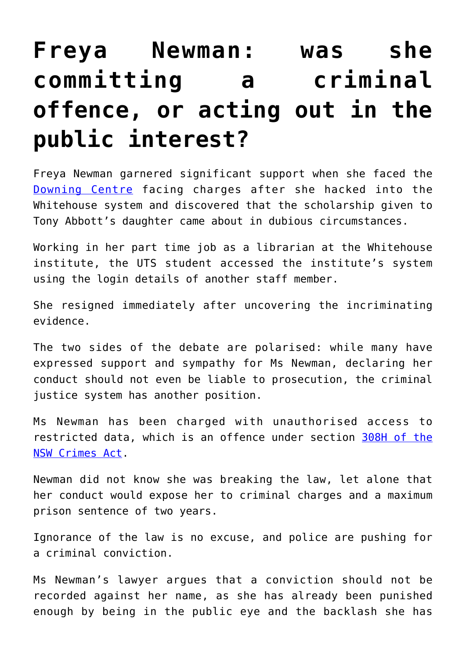## **[Freya Newman: was she](https://downingcentrecourt.com.au/blog/freya-newman-was-she-committing-a-criminal-offence-or-acting-out-in-the-public-interest/) [committing a criminal](https://downingcentrecourt.com.au/blog/freya-newman-was-she-committing-a-criminal-offence-or-acting-out-in-the-public-interest/) [offence, or acting out in the](https://downingcentrecourt.com.au/blog/freya-newman-was-she-committing-a-criminal-offence-or-acting-out-in-the-public-interest/) [public interest?](https://downingcentrecourt.com.au/blog/freya-newman-was-she-committing-a-criminal-offence-or-acting-out-in-the-public-interest/)**

Freya Newman garnered significant support when she faced the [Downing Centre](https://downingcentrecourt.com.au/courts/) facing charges after she hacked into the Whitehouse system and discovered that the scholarship given to Tony Abbott's daughter came about in dubious circumstances.

Working in her part time job as a librarian at the Whitehouse institute, the UTS student accessed the institute's system using the login details of another staff member.

She resigned immediately after uncovering the incriminating evidence.

The two sides of the debate are polarised: while many have expressed support and sympathy for Ms Newman, declaring her conduct should not even be liable to prosecution, the criminal justice system has another position.

Ms Newman has been charged with unauthorised access to restricted data, which is an offence under section [308H of the](http://www.austlii.edu.au/au/legis/nsw/consol_act/ca190082/s308h.html) [NSW Crimes Act](http://www.austlii.edu.au/au/legis/nsw/consol_act/ca190082/s308h.html).

Newman did not know she was breaking the law, let alone that her conduct would expose her to criminal charges and a maximum prison sentence of two years.

Ignorance of the law is no excuse, and police are pushing for a criminal conviction.

Ms Newman's lawyer argues that a conviction should not be recorded against her name, as she has already been punished enough by being in the public eye and the backlash she has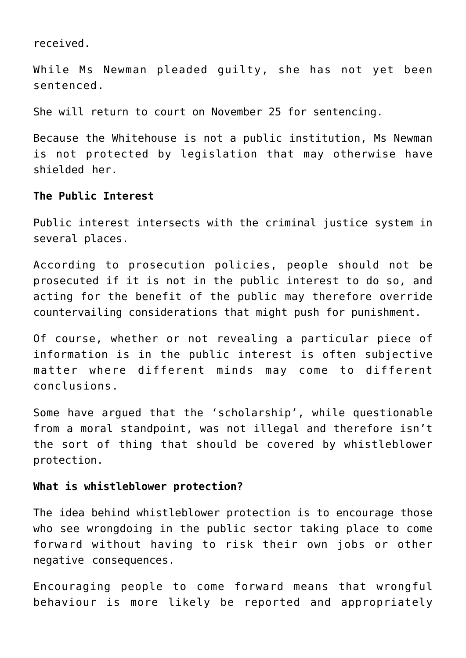received.

While Ms Newman pleaded guilty, she has not yet been sentenced.

She will return to court on November 25 for sentencing.

Because the Whitehouse is not a public institution, Ms Newman is not protected by legislation that may otherwise have shielded her.

## **The Public Interest**

Public interest intersects with the criminal justice system in several places.

According to prosecution policies, people should not be prosecuted if it is not in the public interest to do so, and acting for the benefit of the public may therefore override countervailing considerations that might push for punishment.

Of course, whether or not revealing a particular piece of information is in the public interest is often subjective matter where different minds may come to different conclusions.

Some have argued that the 'scholarship', while questionable from a moral standpoint, was not illegal and therefore isn't the sort of thing that should be covered by whistleblower protection.

## **What is whistleblower protection?**

The idea behind whistleblower protection is to encourage those who see wrongdoing in the public sector taking place to come forward without having to risk their own jobs or other negative consequences.

Encouraging people to come forward means that wrongful behaviour is more likely be reported and appropriately